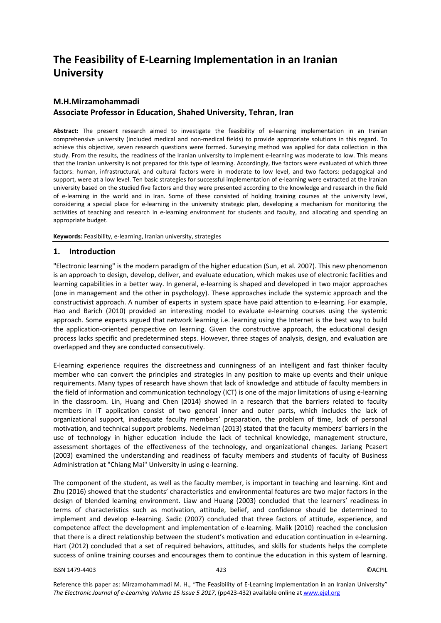# **The Feasibility of E-Learning Implementation in an Iranian University**

## **M.H.Mirzamohammadi**

## **Associate Professor in Education, Shahed University, Tehran, Iran**

**Abstract:** The present research aimed to investigate the feasibility of e-learning implementation in an Iranian comprehensive university (included medical and non-medical fields) to provide appropriate solutions in this regard. To achieve this objective, seven research questions were formed. Surveying method was applied for data collection in this study. From the results, the readiness of the Iranian university to implement e-learning was moderate to low. This means that the Iranian university is not prepared for this type of learning. Accordingly, five factors were evaluated of which three factors: human, infrastructural, and cultural factors were in moderate to low level, and two factors: pedagogical and support, were at a low level. Ten basic strategies for successful implementation of e-learning were extracted at the Iranian university based on the studied five factors and they were presented according to the knowledge and research in the field of e-learning in the world and in Iran. Some of these consisted of holding training courses at the university level, considering a special place for e-learning in the university strategic plan, developing a mechanism for monitoring the activities of teaching and research in e-learning environment for students and faculty, and allocating and spending an appropriate budget.

**Keywords:** Feasibility, e-learning, Iranian university, strategies

## **1. Introduction**

"Electronic learning" is the modern paradigm of the higher education (Sun, et al. 2007). This new phenomenon is an approach to design, develop, deliver, and evaluate education, which makes use of electronic facilities and learning capabilities in a better way. In general, e-learning is shaped and developed in two major approaches (one in management and the other in psychology). These approaches include the systemic approach and the constructivist approach. A number of experts in system space have paid attention to e-learning. For example, Hao and Barich (2010) provided an interesting model to evaluate e-learning courses using the systemic approach. Some experts argued that network learning i.e. learning using the Internet is the best way to build the application-oriented perspective on learning. Given the constructive approach, the educational design process lacks specific and predetermined steps. However, three stages of analysis, design, and evaluation are overlapped and they are conducted consecutively.

E-learning experience requires the discreetness and cunningness of an intelligent and fast thinker faculty member who can convert the principles and strategies in any position to make up events and their unique requirements. Many types of research have shown that lack of knowledge and attitude of faculty members in the field of information and communication technology (ICT) is one of the major limitations of using e-learning in the classroom. Lin, Huang and Chen (2014) showed in a research that the barriers related to faculty members in IT application consist of two general inner and outer parts, which includes the lack of organizational support, inadequate faculty members' preparation, the problem of time, lack of personal motivation, and technical support problems. Nedelman (2013) stated that the faculty members' barriers in the use of technology in higher education include the lack of technical knowledge, management structure, assessment shortages of the effectiveness of the technology, and organizational changes. Jariang Pcasert (2003) examined the understanding and readiness of faculty members and students of faculty of Business Administration at "Chiang Mai" University in using e-learning.

The component of the student, as well as the faculty member, is important in teaching and learning. Kint and Zhu (2016) showed that the students' characteristics and environmental features are two major factors in the design of blended learning environment. Liaw and Huang (2003) concluded that the learners' readiness in terms of characteristics such as motivation, attitude, belief, and confidence should be determined to implement and develop e-learning. Sadic (2007) concluded that three factors of attitude, experience, and competence affect the development and implementation of e-learning. Malik (2010) reached the conclusion that there is a direct relationship between the student's motivation and education continuation in e-learning. Hart (2012) concluded that a set of required behaviors, attitudes, and skills for students helps the complete success of online training courses and encourages them to continue the education in this system of learning.

#### ISSN 1479-4403 423 ©ACPIL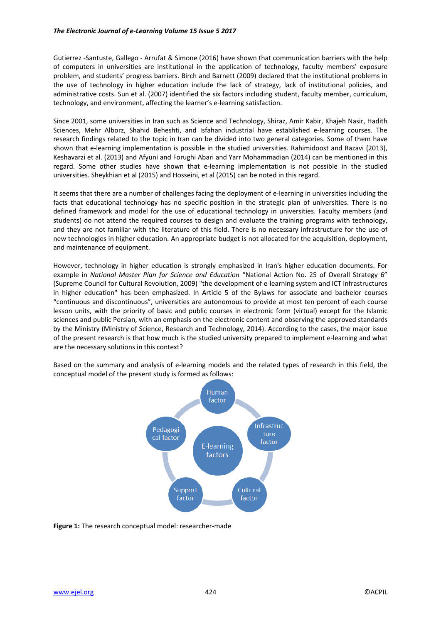Gutierrez -Santuste, Gallego - Arrufat & Simone (2016) have shown that communication barriers with the help of computers in universities are institutional in the application of technology, faculty members' exposure problem, and students' progress barriers. Birch and Barnett (2009) declared that the institutional problems in the use of technology in higher education include the lack of strategy, lack of institutional policies, and administrative costs. Sun et al. (2007) identified the six factors including student, faculty member, curriculum, technology, and environment, affecting the learner's e-learning satisfaction.

Since 2001, some universities in Iran such as Science and Technology, Shiraz, Amir Kabir, Khajeh Nasir, Hadith Sciences, Mehr Alborz, Shahid Beheshti, and Isfahan industrial have established e-learning courses. The research findings related to the topic in Iran can be divided into two general categories. Some of them have shown that e-learning implementation is possible in the studied universities. Rahimidoost and Razavi (2013), Keshavarzi et al. (2013) and Afyuni and Forughi Abari and Yarr Mohammadian (2014) can be mentioned in this regard. Some other studies have shown that e-learning implementation is not possible in the studied universities. Sheykhian et al (2015) and Hosseini, et al (2015) can be noted in this regard.

It seems that there are a number of challenges facing the deployment of e-learning in universities including the facts that educational technology has no specific position in the strategic plan of universities. There is no defined framework and model for the use of educational technology in universities. Faculty members (and students) do not attend the required courses to design and evaluate the training programs with technology, and they are not familiar with the literature of this field. There is no necessary infrastructure for the use of new technologies in higher education. An appropriate budget is not allocated for the acquisition, deployment, and maintenance of equipment.

However, technology in higher education is strongly emphasized in Iran's higher education documents. For example in *National Master Plan for Science and Education* "National Action No. 25 of Overall Strategy 6" (Supreme Council for Cultural Revolution, 2009) "the development of e-learning system and ICT infrastructures in higher education" has been emphasized. In Article 5 of the Bylaws for associate and bachelor courses "continuous and discontinuous", universities are autonomous to provide at most ten percent of each course lesson units, with the priority of basic and public courses in electronic form (virtual) except for the Islamic sciences and public Persian, with an emphasis on the electronic content and observing the approved standards by the Ministry (Ministry of Science, Research and Technology, 2014). According to the cases, the major issue of the present research is that how much is the studied university prepared to implement e-learning and what are the necessary solutions in this context?

Based on the summary and analysis of e-learning models and the related types of research in this field, the conceptual model of the present study is formed as follows:



**Figure 1:** The research conceptual model: researcher-made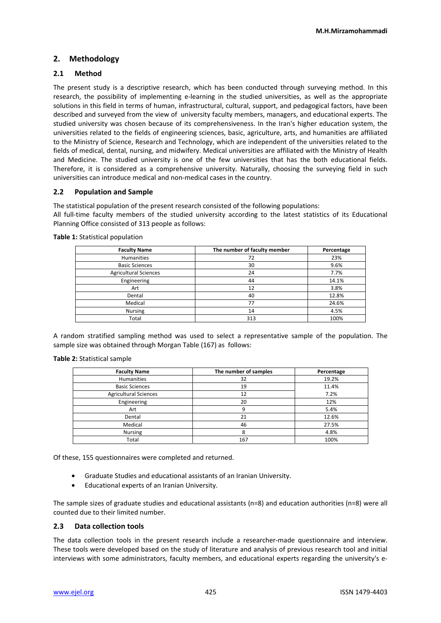## **2. Methodology**

## **2.1 Method**

The present study is a descriptive research, which has been conducted through surveying method. In this research, the possibility of implementing e-learning in the studied universities, as well as the appropriate solutions in this field in terms of human, infrastructural, cultural, support, and pedagogical factors, have been described and surveyed from the view of university faculty members, managers, and educational experts. The studied university was chosen because of its comprehensiveness. In the Iran's higher education system, the universities related to the fields of engineering sciences, basic, agriculture, arts, and humanities are affiliated to the Ministry of Science, Research and Technology, which are independent of the universities related to the fields of medical, dental, nursing, and midwifery. Medical universities are affiliated with the Ministry of Health and Medicine. The studied university is one of the few universities that has the both educational fields. Therefore, it is considered as a comprehensive university. Naturally, choosing the surveying field in such universities can introduce medical and non-medical cases in the country.

## **2.2 Population and Sample**

The statistical population of the present research consisted of the following populations: All full-time faculty members of the studied university according to the latest statistics of its Educational Planning Office consisted of 313 people as follows:

| <b>Faculty Name</b>          | The number of faculty member | Percentage |
|------------------------------|------------------------------|------------|
| <b>Humanities</b>            | 72                           | 23%        |
| <b>Basic Sciences</b>        | 30                           | 9.6%       |
| <b>Agricultural Sciences</b> | 24                           | 7.7%       |
| Engineering                  | 44                           | 14.1%      |
| Art                          | 12                           | 3.8%       |
| Dental                       | 40                           | 12.8%      |
| Medical                      | 77                           | 24.6%      |
| <b>Nursing</b>               | 14                           | 4.5%       |
| Total                        | 313                          | 100%       |

**Table 1:** Statistical population

A random stratified sampling method was used to select a representative sample of the population. The sample size was obtained through Morgan Table (167) as follows:

#### **Table 2:** Statistical sample

| <b>Faculty Name</b>          | The number of samples | Percentage |
|------------------------------|-----------------------|------------|
| <b>Humanities</b>            | 32                    | 19.2%      |
| <b>Basic Sciences</b>        | 19                    | 11.4%      |
| <b>Agricultural Sciences</b> | 12                    | 7.2%       |
| Engineering                  | 20                    | 12%        |
| Art                          |                       | 5.4%       |
| Dental                       | 21                    | 12.6%      |
| Medical                      | 46                    | 27.5%      |
| <b>Nursing</b>               |                       | 4.8%       |
| Total                        | 167                   | 100%       |

Of these, 155 questionnaires were completed and returned.

- Graduate Studies and educational assistants of an Iranian University.
- Educational experts of an Iranian University.

The sample sizes of graduate studies and educational assistants (n=8) and education authorities (n=8) were all counted due to their limited number.

## **2.3 Data collection tools**

The data collection tools in the present research include a researcher-made questionnaire and interview. These tools were developed based on the study of literature and analysis of previous research tool and initial interviews with some administrators, faculty members, and educational experts regarding the university's e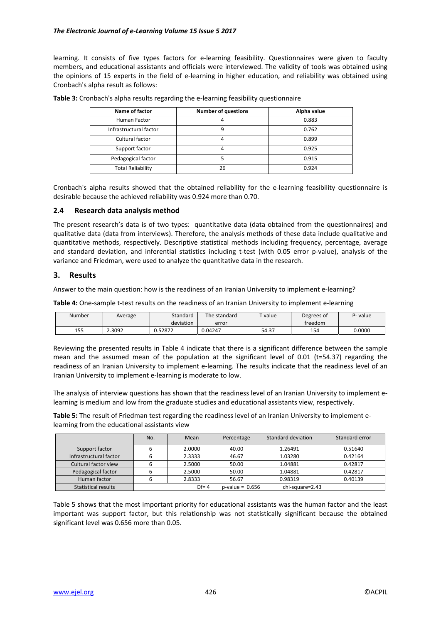learning. It consists of five types factors for e-learning feasibility. Questionnaires were given to faculty members, and educational assistants and officials were interviewed. The validity of tools was obtained using the opinions of 15 experts in the field of e-learning in higher education, and reliability was obtained using Cronbach's alpha result as follows:

| Name of factor           | <b>Number of questions</b> | Alpha value |
|--------------------------|----------------------------|-------------|
| Human Factor             |                            | 0.883       |
| Infrastructural factor   |                            | 0.762       |
| Cultural factor          |                            | 0.899       |
| Support factor           |                            | 0.925       |
| Pedagogical factor       |                            | 0.915       |
| <b>Total Reliability</b> | 26                         | 0.924       |

**Table 3:** Cronbach's alpha results regarding the e-learning feasibility questionnaire

Cronbach's alpha results showed that the obtained reliability for the e-learning feasibility questionnaire is desirable because the achieved reliability was 0.924 more than 0.70.

#### **2.4 Research data analysis method**

The present research's data is of two types: quantitative data (data obtained from the questionnaires) and qualitative data (data from interviews). Therefore, the analysis methods of these data include qualitative and quantitative methods, respectively. Descriptive statistical methods including frequency, percentage, average and standard deviation, and inferential statistics including t-test (with 0.05 error p-value), analysis of the variance and Friedman, were used to analyze the quantitative data in the research.

#### **3. Results**

Answer to the main question: how is the readiness of an Iranian University to implement e-learning?

**Table 4:** One-sample t-test results on the readiness of an Iranian University to implement e-learning

| Number | Average | Standard  | The standard | $T$ value | Degrees of | P- value |
|--------|---------|-----------|--------------|-----------|------------|----------|
|        |         | deviation | error        |           | treedom    |          |
| 155    | 2.3092  | 0.52872   | 0.04247      | 54.37     | 154        | 0.0000   |

Reviewing the presented results in Table 4 indicate that there is a significant difference between the sample mean and the assumed mean of the population at the significant level of 0.01 (t=54.37) regarding the readiness of an Iranian University to implement e-learning. The results indicate that the readiness level of an Iranian University to implement e-learning is moderate to low.

The analysis of interview questions has shown that the readiness level of an Iranian University to implement elearning is medium and low from the graduate studies and educational assistants view, respectively.

**Table 5:** The result of Friedman test regarding the readiness level of an Iranian University to implement elearning from the educational assistants view

|                            | No. | Mean     | Percentage        | Standard deviation | Standard error |
|----------------------------|-----|----------|-------------------|--------------------|----------------|
| Support factor             |     | 2.0000   | 40.00             | 1.26491            | 0.51640        |
| Infrastructural factor     |     | 2.3333   | 46.67             | 1.03280            | 0.42164        |
| Cultural factor view       |     | 2.5000   | 50.00             | 1.04881            | 0.42817        |
| Pedagogical factor         |     | 2.5000   | 50.00             | 1.04881            | 0.42817        |
| Human factor               |     | 2.8333   | 56.67             | 0.98319            | 0.40139        |
| <b>Statistical results</b> |     | $Df = 4$ | $p-value = 0.656$ | chi-square=2.43    |                |

Table 5 shows that the most important priority for educational assistants was the human factor and the least important was support factor, but this relationship was not statistically significant because the obtained significant level was 0.656 more than 0.05.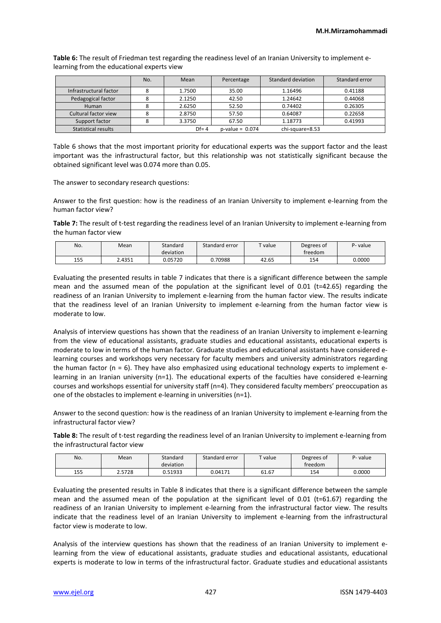**Table 6:** The result of Friedman test regarding the readiness level of an Iranian University to implement elearning from the educational experts view

|                        | No. | Mean     | Percentage        | Standard deviation | Standard error |
|------------------------|-----|----------|-------------------|--------------------|----------------|
| Infrastructural factor |     | 1.7500   | 35.00             | 1.16496            | 0.41188        |
| Pedagogical factor     |     | 2.1250   | 42.50             | 1.24642            | 0.44068        |
| Human                  |     | 2.6250   | 52.50             | 0.74402            | 0.26305        |
| Cultural factor view   |     | 2.8750   | 57.50             | 0.64087            | 0.22658        |
| Support factor         |     | 3.3750   | 67.50             | 1.18773            | 0.41993        |
| Statistical results    |     | $Df = 4$ | $p-value = 0.074$ | chi-square=8.53    |                |

Table 6 shows that the most important priority for educational experts was the support factor and the least important was the infrastructural factor, but this relationship was not statistically significant because the obtained significant level was 0.074 more than 0.05.

The answer to secondary research questions:

Answer to the first question: how is the readiness of an Iranian University to implement e-learning from the human factor view?

**Table 7:** The result of t-test regarding the readiness level of an Iranian University to implement e-learning from the human factor view

| No. | Mean   | Standard<br>deviation | Standard error | $T$ value | Degrees of<br>treedom | P- value |
|-----|--------|-----------------------|----------------|-----------|-----------------------|----------|
| 155 | 2.4351 | 0.05720               | 0.70988        | 42.65     | 154                   | 0.0000   |

Evaluating the presented results in table 7 indicates that there is a significant difference between the sample mean and the assumed mean of the population at the significant level of 0.01 (t=42.65) regarding the readiness of an Iranian University to implement e-learning from the human factor view. The results indicate that the readiness level of an Iranian University to implement e-learning from the human factor view is moderate to low.

Analysis of interview questions has shown that the readiness of an Iranian University to implement e-learning from the view of educational assistants, graduate studies and educational assistants, educational experts is moderate to low in terms of the human factor. Graduate studies and educational assistants have considered elearning courses and workshops very necessary for faculty members and university administrators regarding the human factor ( $n = 6$ ). They have also emphasized using educational technology experts to implement elearning in an Iranian university (n=1). The educational experts of the faculties have considered e-learning courses and workshops essential for university staff (n=4). They considered faculty members' preoccupation as one of the obstacles to implement e-learning in universities (n=1).

Answer to the second question: how is the readiness of an Iranian University to implement e-learning from the infrastructural factor view?

**Table 8:** The result of t-test regarding the readiness level of an Iranian University to implement e-learning from the infrastructural factor view

| No. | Mean   | Standard<br>deviation | Standard error | $T$ value | Degrees of<br>freedom | P- value |
|-----|--------|-----------------------|----------------|-----------|-----------------------|----------|
| 155 | 2.5728 | 0.51933               | 0.04171        | 61.67     | 154                   | 0.0000   |

Evaluating the presented results in Table 8 indicates that there is a significant difference between the sample mean and the assumed mean of the population at the significant level of 0.01 (t=61.67) regarding the readiness of an Iranian University to implement e-learning from the infrastructural factor view. The results indicate that the readiness level of an Iranian University to implement e-learning from the infrastructural factor view is moderate to low.

Analysis of the interview questions has shown that the readiness of an Iranian University to implement elearning from the view of educational assistants, graduate studies and educational assistants, educational experts is moderate to low in terms of the infrastructural factor. Graduate studies and educational assistants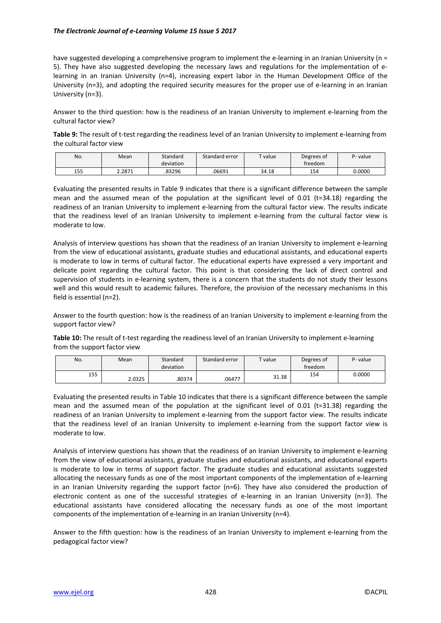#### *The Electronic Journal of e-Learning Volume 15 Issue 5 2017*

have suggested developing a comprehensive program to implement the e-learning in an Iranian University (n = 5). They have also suggested developing the necessary laws and regulations for the implementation of elearning in an Iranian University (n=4), increasing expert labor in the Human Development Office of the University (n=3), and adopting the required security measures for the proper use of e-learning in an Iranian University (n=3).

Answer to the third question: how is the readiness of an Iranian University to implement e-learning from the cultural factor view?

**Table 9:** The result of t-test regarding the readiness level of an Iranian University to implement e-learning from the cultural factor view

| No. | Mean   | Standard<br>deviation | Standard error | $T$ value | Degrees of<br>treedom | P- value |
|-----|--------|-----------------------|----------------|-----------|-----------------------|----------|
| 155 | 2.2871 | 83296                 | 06691          | 34.18     | 154                   | 0.0000   |

Evaluating the presented results in Table 9 indicates that there is a significant difference between the sample mean and the assumed mean of the population at the significant level of 0.01 (t=34.18) regarding the readiness of an Iranian University to implement e-learning from the cultural factor view. The results indicate that the readiness level of an Iranian University to implement e-learning from the cultural factor view is moderate to low.

Analysis of interview questions has shown that the readiness of an Iranian University to implement e-learning from the view of educational assistants, graduate studies and educational assistants, and educational experts is moderate to low in terms of cultural factor. The educational experts have expressed a very important and delicate point regarding the cultural factor. This point is that considering the lack of direct control and supervision of students in e-learning system, there is a concern that the students do not study their lessons well and this would result to academic failures. Therefore, the provision of the necessary mechanisms in this field is essential (n=2).

Answer to the fourth question: how is the readiness of an Iranian University to implement e-learning from the support factor view?

**Table 10:** The result of t-test regarding the readiness level of an Iranian University to implement e-learning from the support factor view

| No. | Mean   | Standard<br>deviation | Standard error | $T$ value | Degrees of<br>treedom | P- value |
|-----|--------|-----------------------|----------------|-----------|-----------------------|----------|
| 155 | 2.0325 | .80374                | .06477         | 31.38     | 154                   | 0.0000   |

Evaluating the presented results in Table 10 indicates that there is a significant difference between the sample mean and the assumed mean of the population at the significant level of 0.01 (t=31.38) regarding the readiness of an Iranian University to implement e-learning from the support factor view. The results indicate that the readiness level of an Iranian University to implement e-learning from the support factor view is moderate to low.

Analysis of interview questions has shown that the readiness of an Iranian University to implement e-learning from the view of educational assistants, graduate studies and educational assistants, and educational experts is moderate to low in terms of support factor. The graduate studies and educational assistants suggested allocating the necessary funds as one of the most important components of the implementation of e-learning in an Iranian University regarding the support factor (n=6). They have also considered the production of electronic content as one of the successful strategies of e-learning in an Iranian University (n=3). The educational assistants have considered allocating the necessary funds as one of the most important components of the implementation of e-learning in an Iranian University (n=4).

Answer to the fifth question: how is the readiness of an Iranian University to implement e-learning from the pedagogical factor view?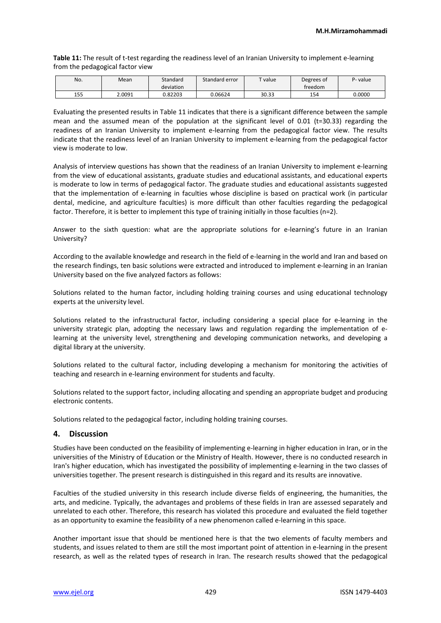**Table 11:** The result of t-test regarding the readiness level of an Iranian University to implement e-learning from the pedagogical factor view

| No. | Mean   | Standard<br>deviation | Standard error | $T$ value | Degrees of<br>treedom | P- value |
|-----|--------|-----------------------|----------------|-----------|-----------------------|----------|
| 155 | 2.0091 | J.82203               | 0.06624        | 30.33     | 154                   | 0.0000   |

Evaluating the presented results in Table 11 indicates that there is a significant difference between the sample mean and the assumed mean of the population at the significant level of 0.01 (t=30.33) regarding the readiness of an Iranian University to implement e-learning from the pedagogical factor view. The results indicate that the readiness level of an Iranian University to implement e-learning from the pedagogical factor view is moderate to low.

Analysis of interview questions has shown that the readiness of an Iranian University to implement e-learning from the view of educational assistants, graduate studies and educational assistants, and educational experts is moderate to low in terms of pedagogical factor. The graduate studies and educational assistants suggested that the implementation of e-learning in faculties whose discipline is based on practical work (in particular dental, medicine, and agriculture faculties) is more difficult than other faculties regarding the pedagogical factor. Therefore, it is better to implement this type of training initially in those faculties (n=2).

Answer to the sixth question: what are the appropriate solutions for e-learning's future in an Iranian University?

According to the available knowledge and research in the field of e-learning in the world and Iran and based on the research findings, ten basic solutions were extracted and introduced to implement e-learning in an Iranian University based on the five analyzed factors as follows:

Solutions related to the human factor, including holding training courses and using educational technology experts at the university level.

Solutions related to the infrastructural factor, including considering a special place for e-learning in the university strategic plan, adopting the necessary laws and regulation regarding the implementation of elearning at the university level, strengthening and developing communication networks, and developing a digital library at the university.

Solutions related to the cultural factor, including developing a mechanism for monitoring the activities of teaching and research in e-learning environment for students and faculty.

Solutions related to the support factor, including allocating and spending an appropriate budget and producing electronic contents.

Solutions related to the pedagogical factor, including holding training courses.

## **4. Discussion**

Studies have been conducted on the feasibility of implementing e-learning in higher education in Iran, or in the universities of the Ministry of Education or the Ministry of Health. However, there is no conducted research in Iran's higher education, which has investigated the possibility of implementing e-learning in the two classes of universities together. The present research is distinguished in this regard and its results are innovative.

Faculties of the studied university in this research include diverse fields of engineering, the humanities, the arts, and medicine. Typically, the advantages and problems of these fields in Iran are assessed separately and unrelated to each other. Therefore, this research has violated this procedure and evaluated the field together as an opportunity to examine the feasibility of a new phenomenon called e-learning in this space.

Another important issue that should be mentioned here is that the two elements of faculty members and students, and issues related to them are still the most important point of attention in e-learning in the present research, as well as the related types of research in Iran. The research results showed that the pedagogical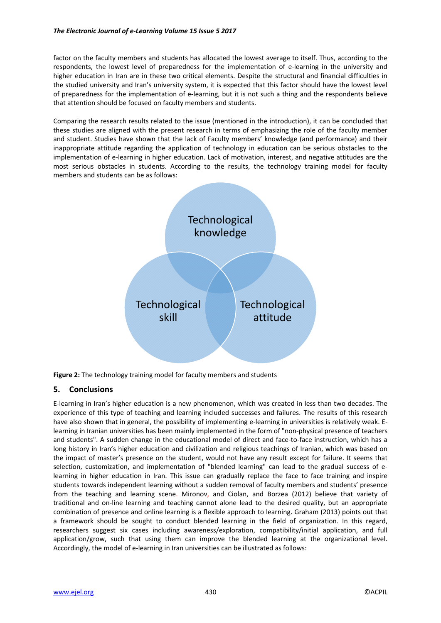factor on the faculty members and students has allocated the lowest average to itself. Thus, according to the respondents, the lowest level of preparedness for the implementation of e-learning in the university and higher education in Iran are in these two critical elements. Despite the structural and financial difficulties in the studied university and Iran's university system, it is expected that this factor should have the lowest level of preparedness for the implementation of e-learning, but it is not such a thing and the respondents believe that attention should be focused on faculty members and students.

Comparing the research results related to the issue (mentioned in the introduction), it can be concluded that these studies are aligned with the present research in terms of emphasizing the role of the faculty member and student. Studies have shown that the lack of Faculty members' knowledge (and performance) and their inappropriate attitude regarding the application of technology in education can be serious obstacles to the implementation of e-learning in higher education. Lack of motivation, interest, and negative attitudes are the most serious obstacles in students. According to the results, the technology training model for faculty members and students can be as follows:



**Figure 2:** The technology training model for faculty members and students

## **5. Conclusions**

E-learning in Iran's higher education is a new phenomenon, which was created in less than two decades. The experience of this type of teaching and learning included successes and failures. The results of this research have also shown that in general, the possibility of implementing e-learning in universities is relatively weak. Elearning in Iranian universities has been mainly implemented in the form of "non-physical presence of teachers and students". A sudden change in the educational model of direct and face-to-face instruction, which has a long history in Iran's higher education and civilization and religious teachings of Iranian, which was based on the impact of master's presence on the student, would not have any result except for failure. It seems that selection, customization, and implementation of "blended learning" can lead to the gradual success of elearning in higher education in Iran. This issue can gradually replace the face to face training and inspire students towards independent learning without a sudden removal of faculty members and students' presence from the teaching and learning scene. Mironov, and Ciolan, and Borzea (2012) believe that variety of traditional and on-line learning and teaching cannot alone lead to the desired quality, but an appropriate combination of presence and online learning is a flexible approach to learning. Graham (2013) points out that a framework should be sought to conduct blended learning in the field of organization. In this regard, researchers suggest six cases including awareness/exploration, compatibility/initial application, and full application/grow, such that using them can improve the blended learning at the organizational level. Accordingly, the model of e-learning in Iran universities can be illustrated as follows: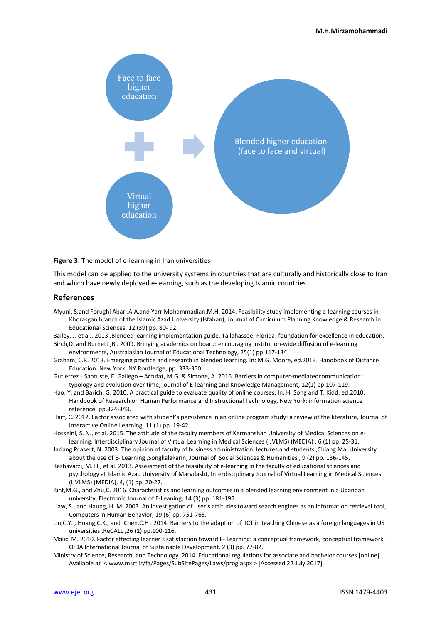

**Figure 3:** The model of e-learning in Iran universities

This model can be applied to the university systems in countries that are culturally and historically close to Iran and which have newly deployed e-learning, such as the developing Islamic countries.

#### **References**

Afyuni, S.and Forughi Abari,A.A.and Yarr Mohammadian,M.H. 2014. Feasibility study implementing e-learning courses in Khorasgan branch of the Islamic Azad University (Isfahan), Journal of Curriculum Planning Knowledge & Research in Educational Sciences, 12 (39) pp. 80- 92.

Bailey, J. et al., 2013 .Blended learning implementation guide, Tallahassee, Florida: foundation for excellence in education. Birch,D. and Burnett ,B . 2009. Bringing academics on board: encouraging institution-wide diffusion of e-learning environments, Australasian Journal of Educational Technology, 25(1) pp.117-134.

- Graham, C.R. 2013. Emerging practice and research in blended learning. In: M.G. Moore, ed.2013. Handbook of Distance Education. New York, NY:Routledge, pp. 333-350.
- Gutierrez Santuste, E. Gallego Arrufat, M.G. & Simone, A. 2016. Barriers in computer-mediatedcommunication: typology and evolution over time, journal of E-learning and Knowledge Management, 12(1) pp.107-119.
- Hao, Y. and Barich, G. 2010. A practical guide to evaluate quality of online courses. In: H. Song and T. Kidd, ed.2010. Handbook of Research on Human Performance and Instructional Technology, New York: information science reference. pp.324-343.
- Hart, C. 2012. Factor associated with student's persistence in an online program study: a review of the literature, Journal of Interactive Online Learning, 11 (1) pp. 19-42.
- Hosseini, S. N., et al. 2015. The attitude of the faculty members of Kermanshah University of Medical Sciences on elearning, Interdisciplinary Journal of Virtual Learning in Medical Sciences (IJVLMS) (MEDIA) , 6 (1) pp. 25-31.
- Jariang Pcasert, N. 2003. The opinion of faculty of business administration lectures and students ,Chiang Mai University about the use of E- Learning ,Songkalakarin, Journal of Social Sciences & Humanities , 9 (2) pp. 136-145.
- Keshavarzi, M. H., et al. 2013. Assessment of the feasibility of e-learning in the faculty of educational sciences and psychology at Islamic Azad University of Marvdasht, Interdisciplinary Journal of Virtual Learning in Medical Sciences (IJVLMS) (MEDIA), 4, (1) pp. 20-27.
- Kint,M.G., and Zhu,C. 2016. Characteristics and learning outcomes in a blended learning environment in a Ugandan university, Electronic Journal of E-Leaning, 14 (3) pp. 181-195.
- Liaw, S., and Haung, H. M. 2003. An investigation of user's attitudes toward search engines as an information retrieval tool, Computers in Human Behavior, 19 (6) pp. 751-765.
- Lin,C.Y. , Huang,C.K., and Chen,C.H . 2014. Barriers to the adaption of ICT in teaching Chinese as a foreign languages in US universities ,ReCALL ,26 (1) pp.100-116.
- Malic, M. 2010. Factor effecting learner's satisfaction toward E- Learning: a conceptual framework, conceptual framework, OIDA International Journal of Sustainable Development, 2 (3) pp. 77-82.
- Ministry of Science, Research, and Technology. 2014. Educational regulations for associate and bachelor courses [online] Available at :< www.msrt.ir/fa/Pages/SubSitePages/Laws/prog.aspx > [Accessed 22 July 2017].